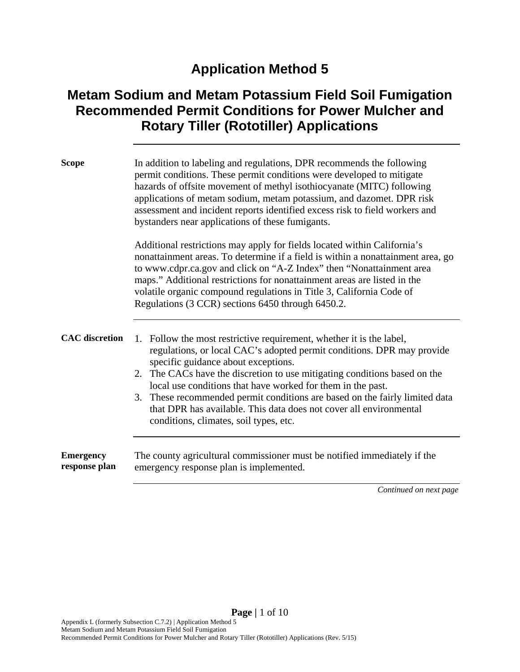# **Application Method 5**

## **Metam Sodium and Metam Potassium Field Soil Fumigation Recommended Permit Conditions for Power Mulcher and Rotary Tiller (Rototiller) Applications**

| <b>Scope</b>                      | In addition to labeling and regulations, DPR recommends the following<br>permit conditions. These permit conditions were developed to mitigate<br>hazards of offsite movement of methyl isothiocyanate (MITC) following<br>applications of metam sodium, metam potassium, and dazomet. DPR risk<br>assessment and incident reports identified excess risk to field workers and<br>bystanders near applications of these fumigants.                                                                                                  |  |  |
|-----------------------------------|-------------------------------------------------------------------------------------------------------------------------------------------------------------------------------------------------------------------------------------------------------------------------------------------------------------------------------------------------------------------------------------------------------------------------------------------------------------------------------------------------------------------------------------|--|--|
|                                   | Additional restrictions may apply for fields located within California's<br>nonattainment areas. To determine if a field is within a nonattainment area, go<br>to www.cdpr.ca.gov and click on "A-Z Index" then "Nonattainment area<br>maps." Additional restrictions for nonattainment areas are listed in the<br>volatile organic compound regulations in Title 3, California Code of<br>Regulations (3 CCR) sections 6450 through 6450.2.                                                                                        |  |  |
| <b>CAC</b> discretion             | Follow the most restrictive requirement, whether it is the label,<br>1.<br>regulations, or local CAC's adopted permit conditions. DPR may provide<br>specific guidance about exceptions.<br>2. The CACs have the discretion to use mitigating conditions based on the<br>local use conditions that have worked for them in the past.<br>3. These recommended permit conditions are based on the fairly limited data<br>that DPR has available. This data does not cover all environmental<br>conditions, climates, soil types, etc. |  |  |
| <b>Emergency</b><br>response plan | The county agricultural commissioner must be notified immediately if the<br>emergency response plan is implemented.                                                                                                                                                                                                                                                                                                                                                                                                                 |  |  |
|                                   | Continued on next page                                                                                                                                                                                                                                                                                                                                                                                                                                                                                                              |  |  |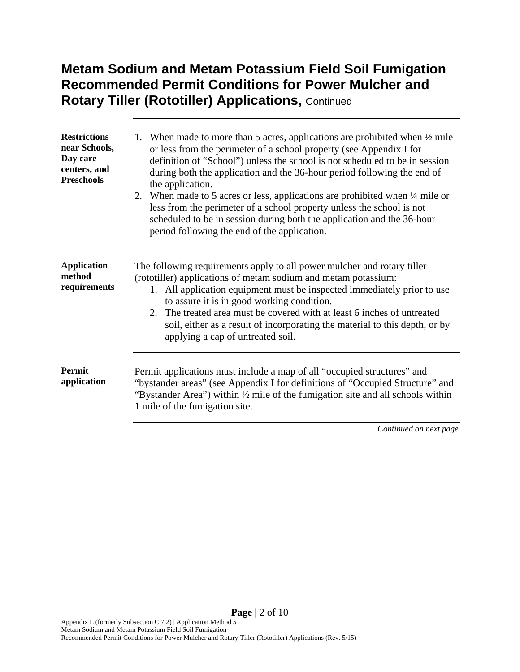| <b>Restrictions</b><br>near Schools,<br>Day care<br>centers, and<br><b>Preschools</b> | 1. When made to more than 5 acres, applications are prohibited when $\frac{1}{2}$ mile<br>or less from the perimeter of a school property (see Appendix I for<br>definition of "School") unless the school is not scheduled to be in session<br>during both the application and the 36-hour period following the end of<br>the application.<br>2. When made to 5 acres or less, applications are prohibited when 1/4 mile or<br>less from the perimeter of a school property unless the school is not<br>scheduled to be in session during both the application and the 36-hour<br>period following the end of the application. |
|---------------------------------------------------------------------------------------|---------------------------------------------------------------------------------------------------------------------------------------------------------------------------------------------------------------------------------------------------------------------------------------------------------------------------------------------------------------------------------------------------------------------------------------------------------------------------------------------------------------------------------------------------------------------------------------------------------------------------------|
| <b>Application</b><br>method<br>requirements                                          | The following requirements apply to all power mulcher and rotary tiller<br>(rototiller) applications of metam sodium and metam potassium:<br>1. All application equipment must be inspected immediately prior to use<br>to assure it is in good working condition.<br>2. The treated area must be covered with at least 6 inches of untreated<br>soil, either as a result of incorporating the material to this depth, or by<br>applying a cap of untreated soil.                                                                                                                                                               |
| <b>Permit</b><br>application                                                          | Permit applications must include a map of all "occupied structures" and<br>"bystander areas" (see Appendix I for definitions of "Occupied Structure" and<br>"Bystander Area") within $\frac{1}{2}$ mile of the fumigation site and all schools within<br>1 mile of the fumigation site.                                                                                                                                                                                                                                                                                                                                         |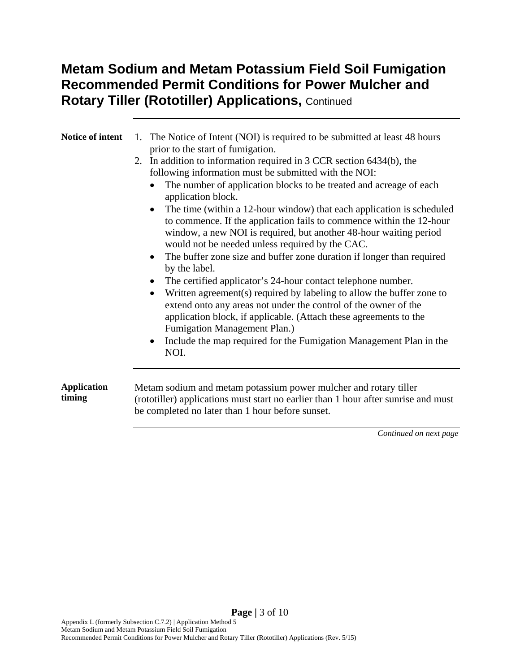| Notice of intent             | 1. The Notice of Intent (NOI) is required to be submitted at least 48 hours<br>prior to the start of fumigation.<br>2. In addition to information required in 3 CCR section 6434(b), the<br>following information must be submitted with the NOI:<br>The number of application blocks to be treated and acreage of each<br>application block.<br>The time (within a 12-hour window) that each application is scheduled<br>$\bullet$<br>to commence. If the application fails to commence within the 12-hour<br>window, a new NOI is required, but another 48-hour waiting period<br>would not be needed unless required by the CAC.<br>The buffer zone size and buffer zone duration if longer than required<br>by the label.<br>The certified applicator's 24-hour contact telephone number.<br>Written agreement(s) required by labeling to allow the buffer zone to<br>extend onto any areas not under the control of the owner of the<br>application block, if applicable. (Attach these agreements to the<br>Fumigation Management Plan.)<br>Include the map required for the Fumigation Management Plan in the<br>NOI. |  |  |
|------------------------------|------------------------------------------------------------------------------------------------------------------------------------------------------------------------------------------------------------------------------------------------------------------------------------------------------------------------------------------------------------------------------------------------------------------------------------------------------------------------------------------------------------------------------------------------------------------------------------------------------------------------------------------------------------------------------------------------------------------------------------------------------------------------------------------------------------------------------------------------------------------------------------------------------------------------------------------------------------------------------------------------------------------------------------------------------------------------------------------------------------------------------|--|--|
| <b>Application</b><br>timing | Metam sodium and metam potassium power mulcher and rotary tiller<br>(rototiller) applications must start no earlier than 1 hour after sunrise and must<br>be completed no later than 1 hour before sunset.                                                                                                                                                                                                                                                                                                                                                                                                                                                                                                                                                                                                                                                                                                                                                                                                                                                                                                                   |  |  |
|                              |                                                                                                                                                                                                                                                                                                                                                                                                                                                                                                                                                                                                                                                                                                                                                                                                                                                                                                                                                                                                                                                                                                                              |  |  |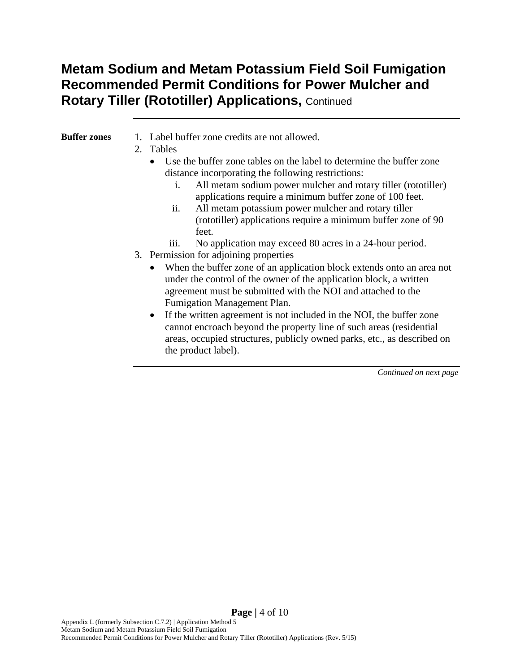#### **Buffer zones** 1. Label buffer zone credits are not allowed.

- 2. Tables
	- Use the buffer zone tables on the label to determine the buffer zone distance incorporating the following restrictions:
		- i. All metam sodium power mulcher and rotary tiller (rototiller) applications require a minimum buffer zone of 100 feet.
		- ii. All metam potassium power mulcher and rotary tiller (rototiller) applications require a minimum buffer zone of 90 feet.
		- iii. No application may exceed 80 acres in a 24-hour period.
- 3. Permission for adjoining properties
	- When the buffer zone of an application block extends onto an area not under the control of the owner of the application block, a written agreement must be submitted with the NOI and attached to the Fumigation Management Plan.
	- If the written agreement is not included in the NOI, the buffer zone cannot encroach beyond the property line of such areas (residential areas, occupied structures, publicly owned parks, etc., as described on the product label).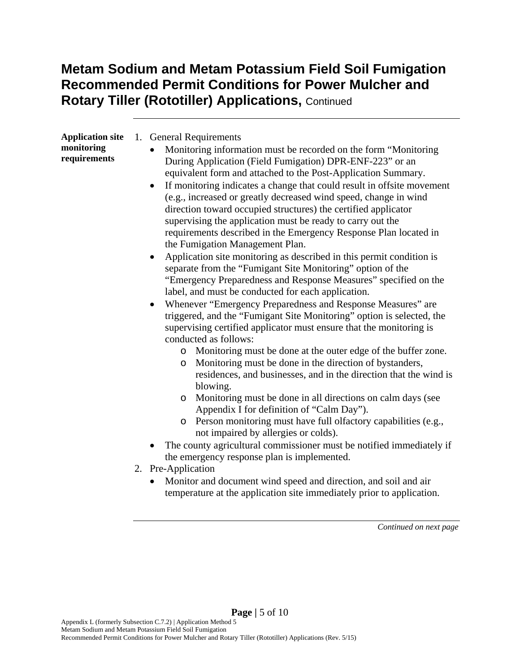| <b>Application site</b>    | <b>General Requirements</b><br>1.                                                 |
|----------------------------|-----------------------------------------------------------------------------------|
| monitoring<br>requirements | Monitoring information must be recorded on the form "Monitoring"<br>$\bullet$     |
|                            | During Application (Field Fumigation) DPR-ENF-223" or an                          |
|                            | equivalent form and attached to the Post-Application Summary.                     |
|                            | • If monitoring indicates a change that could result in offsite movement          |
|                            | (e.g., increased or greatly decreased wind speed, change in wind                  |
|                            | direction toward occupied structures) the certified applicator                    |
|                            | supervising the application must be ready to carry out the                        |
|                            | requirements described in the Emergency Response Plan located in                  |
|                            | the Fumigation Management Plan.                                                   |
|                            | Application site monitoring as described in this permit condition is<br>$\bullet$ |
|                            | separate from the "Fumigant Site Monitoring" option of the                        |
|                            | "Emergency Preparedness and Response Measures" specified on the                   |

- label, and must be conducted for each application. Whenever "Emergency Preparedness and Response Measures" are triggered, and the "Fumigant Site Monitoring" option is selected, the supervising certified applicator must ensure that the monitoring is conducted as follows:
	- o Monitoring must be done at the outer edge of the buffer zone.
	- o Monitoring must be done in the direction of bystanders, residences, and businesses, and in the direction that the wind is blowing.
	- o Monitoring must be done in all directions on calm days (see Appendix I for definition of "Calm Day").
	- o Person monitoring must have full olfactory capabilities (e.g., not impaired by allergies or colds).
- The county agricultural commissioner must be notified immediately if the emergency response plan is implemented.
- 2. Pre-Application
	- Monitor and document wind speed and direction, and soil and air temperature at the application site immediately prior to application.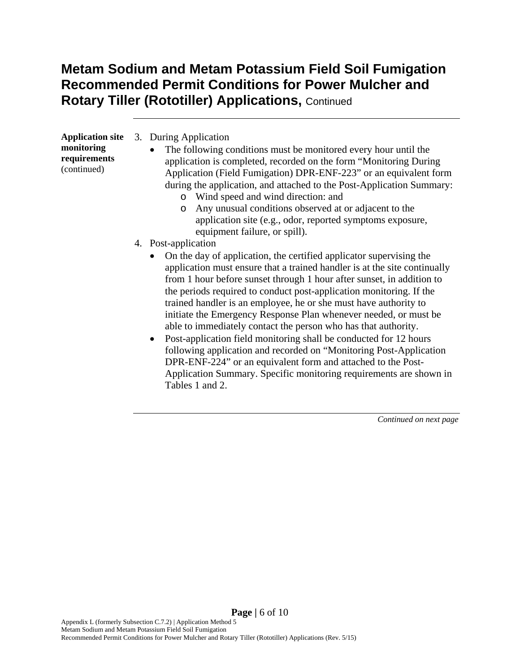| <b>Application site</b>                   | 3. During Application |                                                                                                                                                                                                                                                                                                                                                                                                                                                                                                                                                                                                                                                                                                                                     |  |
|-------------------------------------------|-----------------------|-------------------------------------------------------------------------------------------------------------------------------------------------------------------------------------------------------------------------------------------------------------------------------------------------------------------------------------------------------------------------------------------------------------------------------------------------------------------------------------------------------------------------------------------------------------------------------------------------------------------------------------------------------------------------------------------------------------------------------------|--|
| monitoring<br>requirements<br>(continued) |                       | The following conditions must be monitored every hour until the<br>$\bullet$<br>application is completed, recorded on the form "Monitoring During"<br>Application (Field Fumigation) DPR-ENF-223" or an equivalent form<br>during the application, and attached to the Post-Application Summary:<br>Wind speed and wind direction: and<br>O<br>Any unusual conditions observed at or adjacent to the<br>$\circ$<br>application site (e.g., odor, reported symptoms exposure,<br>equipment failure, or spill).                                                                                                                                                                                                                       |  |
|                                           |                       | 4. Post-application                                                                                                                                                                                                                                                                                                                                                                                                                                                                                                                                                                                                                                                                                                                 |  |
|                                           |                       | On the day of application, the certified applicator supervising the<br>application must ensure that a trained handler is at the site continually<br>from 1 hour before sunset through 1 hour after sunset, in addition to<br>the periods required to conduct post-application monitoring. If the<br>trained handler is an employee, he or she must have authority to<br>initiate the Emergency Response Plan whenever needed, or must be<br>able to immediately contact the person who has that authority.<br>Post-application field monitoring shall be conducted for 12 hours<br>$\bullet$<br>following application and recorded on "Monitoring Post-Application"<br>DPR-ENF-224" or an equivalent form and attached to the Post- |  |

Application Summary. Specific monitoring requirements are shown in

*Continued on next page* 

Tables 1 and 2.

**Page |** 6 of 10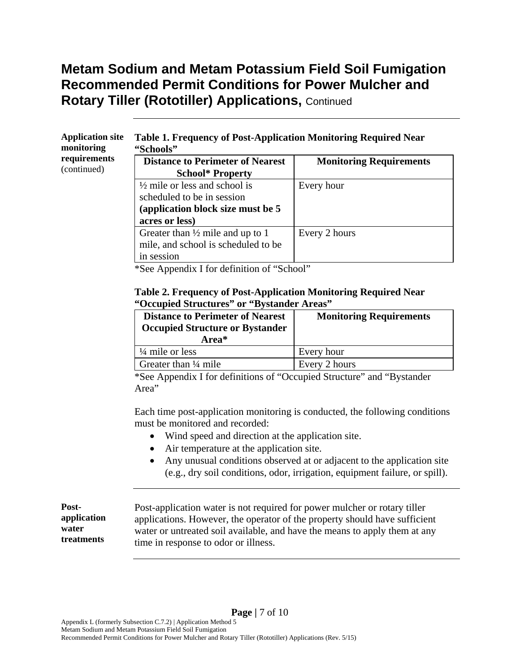#### **Application site monitoring requirements**  (continued)

#### **Table 1. Frequency of Post-Application Monitoring Required Near "Schools"**

| <b>Distance to Perimeter of Nearest</b>     | <b>Monitoring Requirements</b> |
|---------------------------------------------|--------------------------------|
| <b>School* Property</b>                     |                                |
| $\frac{1}{2}$ mile or less and school is    | Every hour                     |
| scheduled to be in session                  |                                |
| (application block size must be 5)          |                                |
| acres or less)                              |                                |
| Greater than $\frac{1}{2}$ mile and up to 1 | Every 2 hours                  |
| mile, and school is scheduled to be         |                                |
| in session                                  |                                |

\*See Appendix I for definition of "School"

#### **Table 2. Frequency of Post-Application Monitoring Required Near "Occupied Structures" or "Bystander Areas"**

| <b>Distance to Perimeter of Nearest</b><br><b>Occupied Structure or Bystander</b><br>Area* | <b>Monitoring Requirements</b> |
|--------------------------------------------------------------------------------------------|--------------------------------|
| $\frac{1}{4}$ mile or less                                                                 | Every hour                     |
| Greater than $\frac{1}{4}$ mile                                                            | Every 2 hours                  |

\*See Appendix I for definitions of "Occupied Structure" and "Bystander Area"

Each time post-application monitoring is conducted, the following conditions must be monitored and recorded:

- Wind speed and direction at the application site.
- Air temperature at the application site.
- Any unusual conditions observed at or adjacent to the application site (e.g., dry soil conditions, odor, irrigation, equipment failure, or spill).

| Post-               | Post-application water is not required for power mulcher or rotary tiller                                          |
|---------------------|--------------------------------------------------------------------------------------------------------------------|
| application         | applications. However, the operator of the property should have sufficient                                         |
| water<br>treatments | water or untreated soil available, and have the means to apply them at any<br>time in response to odor or illness. |

Recommended Permit Conditions for Power Mulcher and Rotary Tiller (Rototiller) Applications (Rev. 5/15)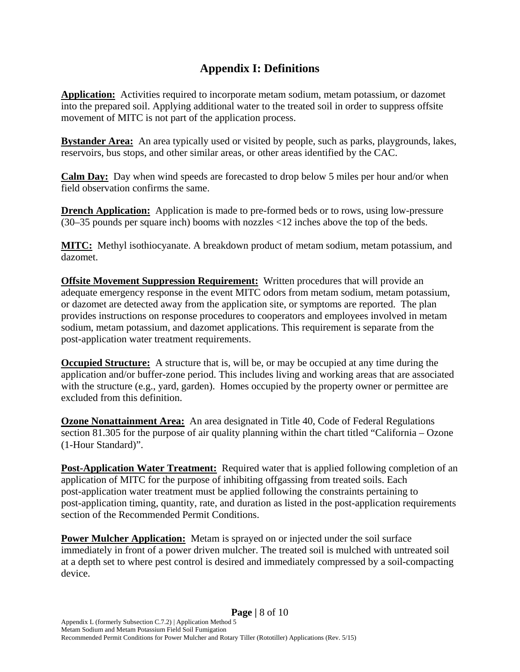#### **Appendix I: Definitions**

**Application:** Activities required to incorporate metam sodium, metam potassium, or dazomet into the prepared soil. Applying additional water to the treated soil in order to suppress offsite movement of MITC is not part of the application process.

**Bystander Area:** An area typically used or visited by people, such as parks, playgrounds, lakes, reservoirs, bus stops, and other similar areas, or other areas identified by the CAC.

**Calm Day:** Day when wind speeds are forecasted to drop below 5 miles per hour and/or when field observation confirms the same.

**Drench Application:** Application is made to pre-formed beds or to rows, using low-pressure (30–35 pounds per square inch) booms with nozzles <12 inches above the top of the beds.

**MITC:** Methyl isothiocyanate. A breakdown product of metam sodium, metam potassium, and dazomet.

**Offsite Movement Suppression Requirement:** Written procedures that will provide an adequate emergency response in the event MITC odors from metam sodium, metam potassium, or dazomet are detected away from the application site, or symptoms are reported. The plan provides instructions on response procedures to cooperators and employees involved in metam sodium, metam potassium, and dazomet applications. This requirement is separate from the post-application water treatment requirements.

**Occupied Structure:** A structure that is, will be, or may be occupied at any time during the application and/or buffer-zone period. This includes living and working areas that are associated with the structure (e.g., yard, garden). Homes occupied by the property owner or permittee are excluded from this definition.

**Ozone Nonattainment Area:** An area designated in Title 40, Code of Federal Regulations section 81.305 for the purpose of air quality planning within the chart titled "California – Ozone (1-Hour Standard)".

**Post-Application Water Treatment:** Required water that is applied following completion of an application of MITC for the purpose of inhibiting offgassing from treated soils. Each post-application water treatment must be applied following the constraints pertaining to post-application timing, quantity, rate, and duration as listed in the post-application requirements section of the Recommended Permit Conditions.

**Power Mulcher Application:** Metam is sprayed on or injected under the soil surface immediately in front of a power driven mulcher. The treated soil is mulched with untreated soil at a depth set to where pest control is desired and immediately compressed by a soil-compacting device.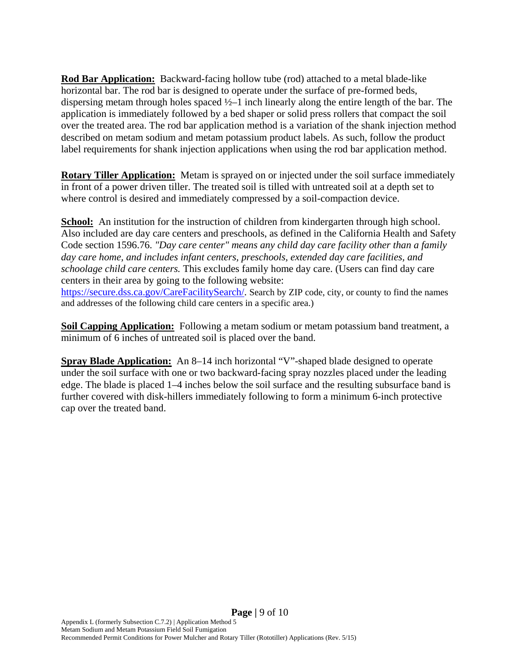**Rod Bar Application:** Backward-facing hollow tube (rod) attached to a metal blade-like horizontal bar. The rod bar is designed to operate under the surface of pre-formed beds, dispersing metam through holes spaced  $\frac{1}{2}$ –1 inch linearly along the entire length of the bar. The application is immediately followed by a bed shaper or solid press rollers that compact the soil over the treated area. The rod bar application method is a variation of the shank injection method described on metam sodium and metam potassium product labels. As such, follow the product label requirements for shank injection applications when using the rod bar application method.

**Rotary Tiller Application:** Metam is sprayed on or injected under the soil surface immediately in front of a power driven tiller. The treated soil is tilled with untreated soil at a depth set to where control is desired and immediately compressed by a soil-compaction device.

**School:** An institution for the instruction of children from kindergarten through high school. Also included are day care centers and preschools, as defined in the California Health and Safety Code section 1596.76. *"Day care center" means any child day care facility other than a family day care home, and includes infant centers, preschools, extended day care facilities, and schoolage child care centers.* This excludes family home day care. (Users can find day care centers in their area by going to the following website: https://secure.dss.ca.gov/CareFacilitySearch/. Search by ZIP code, city, or county to find the names and addresses of the following child care centers in a specific area.)

**Soil Capping Application:** Following a metam sodium or metam potassium band treatment, a minimum of 6 inches of untreated soil is placed over the band.

**Spray Blade Application:** An 8–14 inch horizontal "V"-shaped blade designed to operate under the soil surface with one or two backward-facing spray nozzles placed under the leading edge. The blade is placed 1–4 inches below the soil surface and the resulting subsurface band is further covered with disk-hillers immediately following to form a minimum 6-inch protective cap over the treated band.